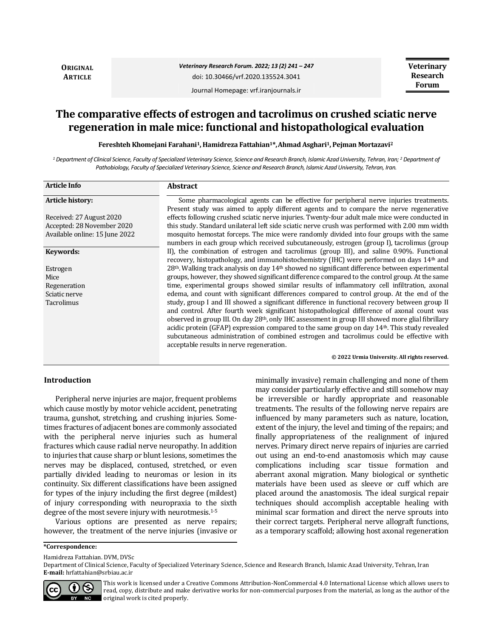**ORIGINAL ARTICLE**

*Veterinary Research Forum. 2022; 13 (2) 241 – 247* doi: 10.30466/vrf.2020.135524.3041

**Veterinary Research Forum**

Journal Homepage: vrf.iranjournals.ir

# **The comparative effects of estrogen and tacrolimus on crushed sciatic nerve regeneration in male mice: functional and histopathological evaluation**

**Fereshteh Khomejani Farahani1, Hamidreza Fattahian1\*,Ahmad Asghari1, Pejman Mortazavi<sup>2</sup>**

*<sup>1</sup> Department of Clinical Science, Faculty of Specialized Veterinary Science, Science and Research Branch, Islamic Azad University, Tehran, Iran; <sup>2</sup> Department of Pathobiology, Faculty of Specialized Veterinary Science, Science and Research Branch, Islamic Azad University, Tehran, Iran.*

| <b>Article Info</b>            | <b>Abstract</b>                                                                                                |
|--------------------------------|----------------------------------------------------------------------------------------------------------------|
| <b>Article history:</b>        | Some pharmacological agents can be effective for peripheral nerve injuries treatments.                         |
|                                | Present study was aimed to apply different agents and to compare the nerve regenerative                        |
| Received: 27 August 2020       | effects following crushed sciatic nerve injuries. Twenty-four adult male mice were conducted in                |
| Accepted: 28 November 2020     | this study. Standard unilateral left side sciatic nerve crush was performed with 2.00 mm width                 |
| Available online: 15 June 2022 | mosquito hemostat forceps. The mice were randomly divided into four groups with the same                       |
|                                | numbers in each group which received subcutaneously, estrogen (group I), tacrolimus (group                     |
| Keywords:                      | II), the combination of estrogen and tacrolimus (group III), and saline 0.90%. Functional                      |
|                                | recovery, histopathology, and immunohistochemistry (IHC) were performed on days 14 <sup>th</sup> and           |
| Estrogen                       | 28th. Walking track analysis on day 14th showed no significant difference between experimental                 |
| Mice                           | groups, however, they showed significant difference compared to the control group. At the same                 |
| Regeneration                   | time, experimental groups showed similar results of inflammatory cell infiltration, axonal                     |
| Sciatic nerve                  | edema, and count with significant differences compared to control group. At the end of the                     |
| Tacrolimus                     | study, group I and III showed a significant difference in functional recovery between group II                 |
|                                | and control. After fourth week significant histopathological difference of axonal count was                    |
|                                | observed in group III. On day 28 <sup>th</sup> , only IHC assessment in group III showed more glial fibrillary |
|                                | acidic protein (GFAP) expression compared to the same group on day $14th$ . This study revealed                |
|                                | subcutaneous administration of combined estrogen and tacrolimus could be effective with                        |
|                                | acceptable results in nerve regeneration.                                                                      |
|                                | © 2022 Urmia University. All rights reserved.                                                                  |

# **Introduction**

Peripheral nerve injuries are major, frequent problems which cause mostly by motor vehicle accident, penetrating trauma, gunshot, stretching, and crushing injuries. Sometimes fractures of adjacent bones are commonly associated with the peripheral nerve injuries such as humeral fractures which cause radial nerve neuropathy. In addition to injuries that cause sharp or blunt lesions, sometimes the nerves may be displaced, contused, stretched, or even partially divided leading to neuromas or lesion in its continuity. Six different classifications have been assigned for types of the injury including the first degree (mildest) of injury corresponding with neuropraxia to the sixth degree of the most severe injury with neurotmesis.<sup>1-5</sup>

Various options are presented as nerve repairs; however, the treatment of the nerve injuries (invasive or minimally invasive) remain challenging and none of them may consider particularly effective and still somehow may be irreversible or hardly appropriate and reasonable treatments. The results of the following nerve repairs are influenced by many parameters such as nature, location, extent of the injury, the level and timing of the repairs; and finally appropriateness of the realignment of injured nerves. Primary direct nerve repairs of injuries are carried out using an end-to-end anastomosis which may cause complications including scar tissue formation and aberrant axonal migration. Many biological or synthetic materials have been used as sleeve or cuff which are placed around the anastomosis. The ideal surgical repair techniques should accomplish acceptable healing with minimal scar formation and direct the nerve sprouts into their correct targets. Peripheral nerve allograft functions, as a temporary scaffold; allowing host axonal regeneration

Hamidreza Fattahian. DVM, DVSc

Department of Clinical Science, Faculty of Specialized Veterinary Science, Science and Research Branch, Islamic Azad University, Tehran, Iran **E-mail:** hrfattahian@srbiau.ac.ir



This work is licensed under a [Creative Commons Attribution-NonCommercial 4.0 International License](http://creativecommons.org/licenses/by-nc/4.0/) which allows users to read, copy, distribute and make derivative works for non-commercial purposes from the material, as long as the author of the original work is cited properly.

**<sup>\*</sup>Correspondence:**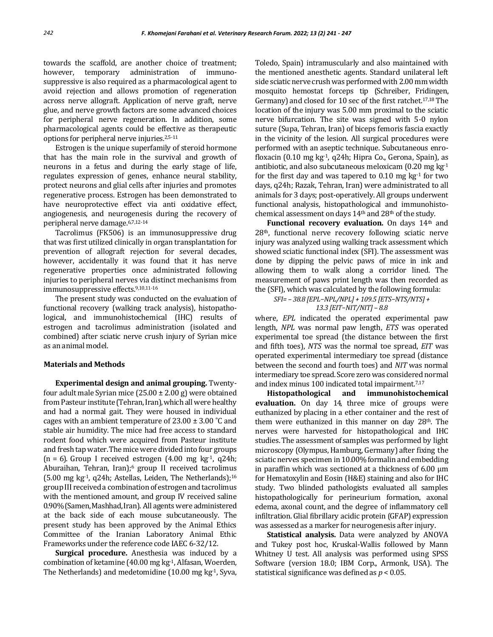towards the scaffold, are another choice of treatment; however, temporary administration of immunosuppressive is also required as a pharmacological agent to avoid rejection and allows promotion of regeneration across nerve allograft. Application of nerve graft, nerve glue, and nerve growth factors are some advanced choices for peripheral nerve regeneration. In addition, some pharmacological agents could be effective as therapeutic options for peripheral nerve injuries.2,5-11

Estrogen is the unique superfamily of steroid hormone that has the main role in the survival and growth of neurons in a fetus and during the early stage of life, regulates expression of genes, enhance neural stability, protect neurons and glial cells after injuries and promotes regenerative process. Estrogen has been demonstrated to have neuroprotective effect via anti oxidative effect, angiogenesis, and neurogenesis during the recovery of peripheral nerve damage.6,7,12-14

Tacrolimus (FK506) is an immunosuppressive drug that was first utilized clinically in organ transplantation for prevention of allograft rejection for several decades, however, accidentally it was found that it has nerve regenerative properties once administrated following injuries to peripheral nerves via distinct mechanisms from immunosuppressive effects.<sup>9,10,11-16</sup>

The present study was conducted on the evaluation of functional recovery (walking track analysis), histopathological, and immunohistochemical (IHC) results of estrogen and tacrolimus administration (isolated and combined) after sciatic nerve crush injury of Syrian mice as an animal model.

## **Materials and Methods**

**Experimental design and animal grouping.** Twentyfour adult male Syrian mice  $(25.00 \pm 2.00 \text{ g})$  were obtained from Pasteur institute (Tehran, Iran), which all were healthy and had a normal gait. They were housed in individual cages with an ambient temperature of  $23.00 \pm 3.00$  °C and stable air humidity. The mice had free access to standard rodent food which were acquired from Pasteur institute and fresh tap water. The mice were divided into four groups  $(n = 6)$ . Group I received estrogen  $(4.00 \text{ mg kg}^{-1}, q24h)$ ; Aburaihan, Tehran, Iran);6 group II received tacrolimus (5.00 mg kg<sup>-1</sup>, q24h; Astellas, Leiden, The Netherlands);<sup>16</sup> group III received a combination of estrogen and tacrolimus with the mentioned amount, and group IV received saline 0.90% (Samen, Mashhad, Iran). All agentswere administered at the back side of each mouse subcutaneously. The present study has been approved by the Animal Ethics Committee of the Iranian Laboratory Animal Ethic Frameworks under the reference code IAEC 6-32/12.

**Surgical procedure.** Anesthesia was induced by a combination of ketamine  $(40.00 \text{ mg kg}^{-1})$ , Alfasan, Woerden, The Netherlands) and medetomidine  $(10.00 \text{ mg kg}^{-1})$ , Syva,

Toledo, Spain) intramuscularly and also maintained with the mentioned anesthetic agents. Standard unilateral left side sciatic nerve crush was performed with 2.00 mm width mosquito hemostat forceps tip (Schreiber, Fridingen, Germany) and closed for 10 sec of the first ratchet.17,18The location of the injury was 5.00 mm proximal to the sciatic nerve bifurcation. The site was signed with 5-0 nylon suture (Supa, Tehran, Iran) of biceps femoris fascia exactly in the vicinity of the lesion. All surgical procedures were performed with an aseptic technique. Subcutaneous enrofloxacin (0.10 mg kg-1, q24h; Hipra Co., Gerona, Spain), as antibiotic, and also subcutaneous meloxicam (0.20 mg kg-1 for the first day and was tapered to  $0.10 \text{ mg}$  kg<sup>-1</sup> for two days, q24h; Razak, Tehran, Iran) were administrated to all animals for 3 days; post-operatively. All groups underwent functional analysis, histopathological and immunohistochemical assessment on days 14<sup>th</sup> and 28<sup>th</sup> of the study.

**Functional recovery evaluation.** On days 14<sup>th</sup> and 28th, functional nerve recovery following sciatic nerve injury was analyzed using walking track assessment which showed sciatic functional index (SFI). The assessment was done by dipping the pelvic paws of mice in ink and allowing them to walk along a corridor lined. The measurement of paws print length was then recorded as the (SFI), which was calculated by the following formula:

# *SFI= – 38.8 [EPL−NPL/NPL] + 109.5 [ETS−NTS/NTS] + 13.3 [EIT−NIT/NIT] – 8.8*

where, *EPL* indicated the operated experimental paw length, *NPL* was normal paw length, *ETS* was operated experimental toe spread (the distance between the first and fifth toes), *NTS* was the normal toe spread, *EIT* was operated experimental intermediary toe spread (distance between the second and fourth toes) and *NIT* was normal intermediary toe spread. Score zerowas considered normal and index minus 100 indicated total impairment.<sup>7,17</sup>

**Histopathological and immunohistochemical evaluation.** On day 14, three mice of groups were euthanized by placing in a ether container and the rest of them were euthanized in this manner on day  $28<sup>th</sup>$ . The nerves were harvested for histopathological and IHC studies.The assessment of samples was performed by light microscopy (Olympus, Hamburg, Germany) after fixing the sciatic nerves specimen in 10.00% formalin and embedding in paraffin which was sectioned at a thickness of  $6.00 \mu m$ for Hematoxylin and Eosin (H&E) staining and also for IHC study. Two blinded pathologists evaluated all samples histopathologically for perineurium formation, axonal edema, axonal count, and the degree of inflammatory cell infiltration. Glial fibrillary acidic protein (GFAP) expression was assessed as a marker for neurogenesis after injury.

**Statistical analysis.** Data were analyzed by ANOVA and Tukey post hoc, Kruskal-Wallis followed by Mann Whitney U test. All analysis was performed using SPSS Software (version 18.0; IBM Corp., Armonk, USA). The statistical significance was defined as *p* < 0.05.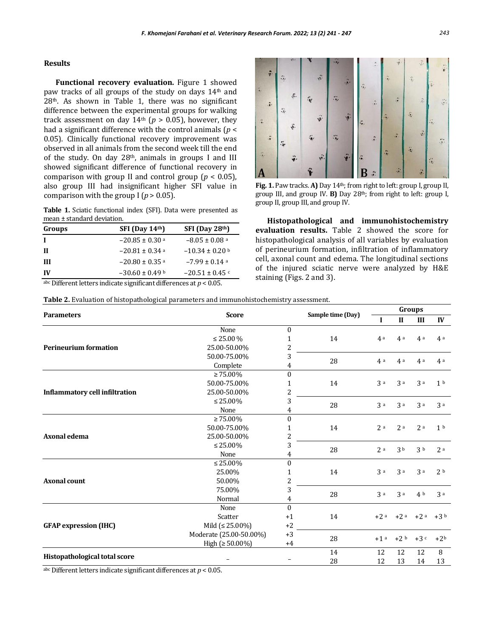#### **Results**

**Functional recovery evaluation.** Figure 1 showed paw tracks of all groups of the study on days 14th and 28th. As shown in Table 1, there was no significant difference between the experimental groups for walking track assessment on day  $14<sup>th</sup>$  ( $p > 0.05$ ), however, they had a significant difference with the control animals (*p* < 0.05). Clinically functional recovery improvement was observed in all animals from the second week till the end of the study. On day 28<sup>th</sup>, animals in groups I and III showed significant difference of functional recovery in comparison with group II and control group ( $p < 0.05$ ), also group III had insignificant higher SFI value in comparison with the group I ( $p > 0.05$ ).

**Table 1.** Sciatic functional index (SFI). Data were presented as mean ± standard deviation.

| Groups | SFI (Day 14 <sup>th</sup> )    | $SFI$ (Day 28 <sup>th</sup> ) |
|--------|--------------------------------|-------------------------------|
|        | $-20.85 \pm 0.30$ a            | $-8.05 \pm 0.08$ a            |
| Ш      | $-20.81 \pm 0.34$ a            | $-10.34 \pm 0.20$ b           |
| Ш      | $-20.80 \pm 0.35$ <sup>a</sup> | $-7.99 \pm 0.14$ a            |
| IV     | $-30.60 \pm 0.49$ b            | $-20.51 \pm 0.45$             |

abc Different letters indicate significant differences at *p* < 0.05.



**Fig. 1.** Paw tracks. **A)** Day 14th; from right to left: group I, group II, group III, and group IV. **B)** Day 28th; from right to left: group I, group II, group III, and group IV.

**Histopathological and immunohistochemistry evaluation results.** Table 2 showed the score for histopathological analysis of all variables by evaluation of perineurium formation, infiltration of inflammatory cell, axonal count and edema. The longitudinal sections of the injured sciatic nerve were analyzed by H&E staining (Figs. 2 and 3).

**Table 2.** Evaluation of histopathological parameters and immunohistochemistry assessment.

|                                       |                         |                         |                   | Groups            |                |                   |                |
|---------------------------------------|-------------------------|-------------------------|-------------------|-------------------|----------------|-------------------|----------------|
| <b>Parameters</b>                     | <b>Score</b>            |                         | Sample time (Day) |                   | $\mathbf{I}$   | III               | IV             |
|                                       | None                    | $\Omega$                |                   |                   |                |                   |                |
|                                       | $\leq$ 25.00 %          | 1                       | 14                | 4a                | 4a             | 4a                | 4a             |
| <b>Perineurium formation</b>          | 25.00-50.00%            | $\overline{\mathbf{c}}$ |                   |                   |                |                   |                |
|                                       | 50.00-75.00%            | 3                       | 28                | 4a                | 4a             | 4a                | 4a             |
|                                       | Complete                | 4                       |                   |                   |                |                   |                |
|                                       | $\geq 75.00\%$          | $\mathbf{0}$            |                   |                   |                |                   |                |
|                                       | 50.00-75.00%            | 1                       | 14                | 3a                | 3a             | 3a                | 1 <sup>b</sup> |
| <b>Inflammatory cell infiltration</b> | 25.00-50.00%            | 2                       |                   |                   |                |                   |                |
|                                       | $\leq 25.00\%$          | 3                       | 28                | 3a                | 3a             | 3a                | 3a             |
| Axonal edema                          | None                    | 4                       |                   |                   |                |                   |                |
|                                       | $\geq 75.00\%$          | $\boldsymbol{0}$        |                   |                   |                |                   |                |
|                                       | 50.00-75.00%            | 1                       | 14                | 2a                | 2a             | 2a                | 1 <sup>b</sup> |
|                                       | 25.00-50.00%            | 2                       |                   |                   |                |                   |                |
|                                       | $\leq 25.00\%$          | 3                       | 28                | 2a                | 3 <sub>b</sub> | 3 <sub>b</sub>    | 2a             |
|                                       | None                    | 4                       |                   |                   |                |                   |                |
| <b>Axonal count</b>                   | $\leq 25.00\%$          | $\theta$                |                   |                   |                |                   |                |
|                                       | 25.00%                  | 1                       | 14                | 3a                | 3a             | 3a                | 2 <sub>b</sub> |
|                                       | 50.00%                  | 2                       |                   |                   |                |                   |                |
|                                       | 75.00%                  | 3                       |                   | 3a                | 3a             | 4 b               | 3a             |
|                                       | Normal                  | 4                       | 28                |                   |                |                   |                |
|                                       | None                    | $\Omega$                |                   |                   |                |                   |                |
|                                       | Scatter                 | $+1$                    | 14                |                   |                | $+2a +2a +2a +3b$ |                |
| <b>GFAP</b> expression (IHC)          | Mild $( \leq 25.00\%)$  | $+2$                    |                   |                   |                |                   |                |
|                                       | Moderate (25.00-50.00%) | $+3$                    | 28                | $+1$ <sup>a</sup> |                | $+2 b +3 c$       | $+2b$          |
|                                       | High ( $\geq 50.00\%$ ) | $+4$                    |                   |                   |                |                   |                |
| Histopathological total score         |                         |                         | 14                | 12                | 12             | 12                | 8              |
|                                       |                         |                         | 28                | 12                | 13             | 14                | 13             |

abc Different letters indicate significant differences at *p* < 0.05.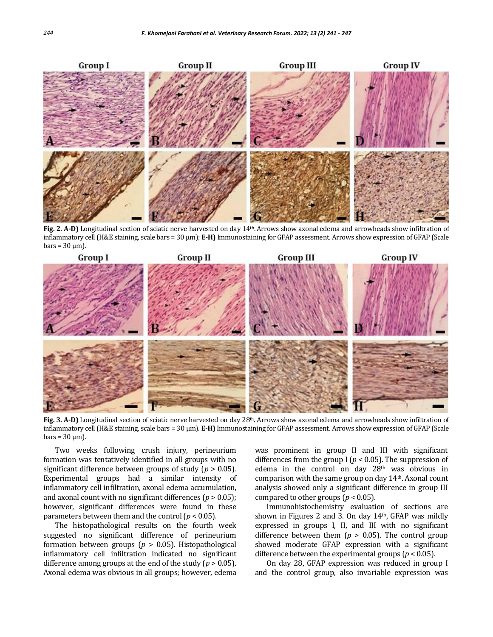

Fig. 2. A-D) Longitudinal section of sciatic nerve harvested on day 14<sup>th</sup>. Arrows show axonal edema and arrowheads show infiltration of inflammatory cell (H&E staining, scale bars = 30 µm); **E-H)** Immunostaining for GFAP assessment. Arrows show expression of GFAP (Scale  $bars = 30 \text{ µm}$ .



Fig. 3. A-D) Longitudinal section of sciatic nerve harvested on day 28<sup>th</sup>. Arrows show axonal edema and arrowheads show infiltration of inflammatory cell (H&E staining, scale bars = 30 µm). **E-H)** Immunostaining for GFAP assessment. Arrows show expression of GFAP (Scale  $bars = 30 \text{ µm}$ ).

Two weeks following crush injury, perineurium formation was tentatively identified in all groups with no significant difference between groups of study (*p* > 0.05). Experimental groups had a similar intensity of inflammatory cell infiltration, axonal edema accumulation, and axonal count with no significant differences  $(p > 0.05)$ ; however, significant differences were found in these parameters between them and the control (*p* < 0.05).

The histopathological results on the fourth week suggested no significant difference of perineurium formation between groups (*p* > 0.05). Histopathological inflammatory cell infiltration indicated no significant difference among groups at the end of the study (*p* > 0.05). Axonal edema was obvious in all groups; however, edema

was prominent in group II and III with significant differences from the group I (*p* < 0.05). The suppression of edema in the control on day 28th was obvious in comparison with the same group on day 14th. Axonal count analysis showed only a significant difference in group III compared to other groups ( $p < 0.05$ ).

Immunohistochemistry evaluation of sections are shown in Figures 2 and 3. On day  $14<sup>th</sup>$ , GFAP was mildly expressed in groups I, II, and III with no significant difference between them  $(p > 0.05)$ . The control group showed moderate GFAP expression with a significant difference between the experimental groups (*p* < 0.05).

On day 28, GFAP expression was reduced in group I and the control group, also invariable expression was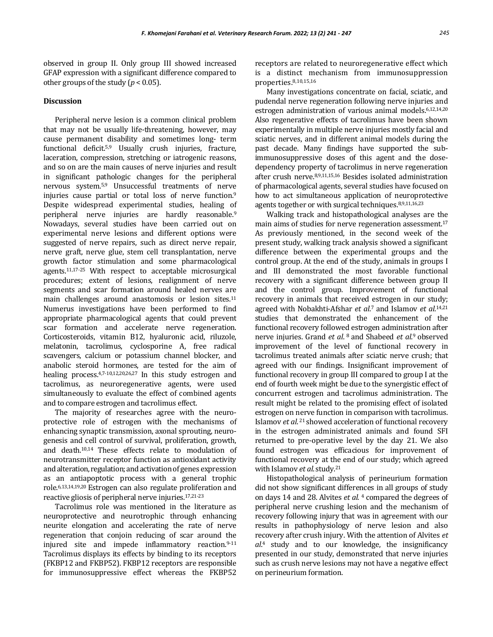observed in group II. Only group III showed increased GFAP expression with a significant difference compared to other groups of the study ( $p < 0.05$ ).

# **Discussion**

Peripheral nerve lesion is a common clinical problem that may not be usually life-threatening, however, may cause permanent disability and sometimes long- term functional deficit.5,9 Usually crush injuries, fracture, laceration, compression, stretching or iatrogenic reasons, and so on are the main causes of nerve injuries and result in significant pathologic changes for the peripheral nervous system.5,9 Unsuccessful treatments of nerve injuries cause partial or total loss of nerve function.<sup>9</sup> Despite widespread experimental studies, healing of peripheral nerve injuries are hardly reasonable.<sup>9</sup> Nowadays, several studies have been carried out on experimental nerve lesions and different options were suggested of nerve repairs, such as direct nerve repair, nerve graft, nerve glue, stem cell transplantation, nerve growth factor stimulation and some pharmacological agents.11,17-25 With respect to acceptable microsurgical procedures; extent of lesions, realignment of nerve segments and scar formation around healed nerves are main challenges around anastomosis or lesion sites.<sup>11</sup> Numerus investigations have been performed to find appropriate pharmacological agents that could prevent scar formation and accelerate nerve regeneration. Corticosteroids, vitamin B12, hyaluronic acid, riluzole, melatonin, tacrolimus, cyclosporine A, free radical scavengers, calcium or potassium channel blocker, and anabolic steroid hormones, are tested for the aim of healing process.4,7-10,12,20,26,27 In this study estrogen and tacrolimus, as neuroregenerative agents, were used simultaneously to evaluate the effect of combined agents and to compare estrogen and tacrolimus effect.

The majority of researches agree with the neuroprotective role of estrogen with the mechanisms of enhancing synaptic transmission, axonal sprouting, neurogenesis and cell control of survival, proliferation, growth, and death.10,14 These effects relate to modulation of neurotransmitter receptor function as antioxidant activity and alteration, regulation; and activation of genes expression as an antiapoptotic process with a general trophic role.6,13,14,19,20 Estrogen can also regulate proliferation and reactive gliosis of peripheral nerve injuries.17,21-23

Tacrolimus role was mentioned in the literature as neuroprotective and neurotrophic through enhancing neurite elongation and accelerating the rate of nerve regeneration that conjoin reducing of scar around the injured site and impede inflammatory reaction.<sup>9-11</sup> Tacrolimus displays its effects by binding to its receptors (FKBP12 and FKBP52). FKBP12 receptors are responsible for immunosuppressive effect whereas the FKBP52

receptors are related to neuroregenerative effect which is a distinct mechanism from immunosuppression properties.8,10,15,16

Many investigations concentrate on facial, sciatic, and pudendal nerve regeneration following nerve injuries and estrogen administration of various animal models.6,12,14,20 Also regenerative effects of tacrolimus have been shown experimentally in multiple nerve injuries mostly facial and sciatic nerves, and in different animal models during the past decade. Many findings have supported the subimmunosuppressive doses of this agent and the dosedependency property of tacrolimus in nerve regeneration after crush nerve.8,9,11,15,16 Besides isolated administration of pharmacological agents, several studies have focused on how to act simultaneous application of neuroprotective agents together or with surgical techniques.8,9,11,16,23

Walking track and histopathological analyses are the main aims of studies for nerve regeneration assessment.<sup>17</sup> As previously mentioned, in the second week of the present study, walking track analysis showed a significant difference between the experimental groups and the control group. At the end of the study, animals in groups I and III demonstrated the most favorable functional recovery with a significant difference between group II and the control group. Improvement of functional recovery in animals that received estrogen in our study; agreed with Nobakhti-Afshar *et al*. <sup>7</sup> and Islamov *et al*. 14,21 studies that demonstrated the enhancement of the functional recovery followed estrogen administration after nerve injuries. Grand *et al.*<sup>8</sup> and Shabeed *et al.*<sup>9</sup> observed improvement of the level of functional recovery in tacrolimus treated animals after sciatic nerve crush; that agreed with our findings. Insignificant improvement of functional recovery in group III compared to group I at the end of fourth week might be due to the synergistic effect of concurrent estrogen and tacrolimus administration. The result might be related to the promising effect of isolated estrogen on nerve function in comparison with tacrolimus. Islamov et al.<sup>21</sup> showed acceleration of functional recovery in the estrogen administrated animals and found SFI returned to pre-operative level by the day 21. We also found estrogen was efficacious for improvement of functional recovery at the end of our study; which agreed with Islamov *et al*.study.<sup>21</sup>

Histopathological analysis of perineurium formation did not show significant differences in all groups of study on days 14 and 28. Alvites *et al.* <sup>4</sup> compared the degrees of peripheral nerve crushing lesion and the mechanism of recovery following injury that was in agreement with our results in pathophysiology of nerve lesion and also recovery after crush injury. With the attention of Alvites *et al*. <sup>4</sup> study and to our knowledge, the insignificancy presented in our study, demonstrated that nerve injuries such as crush nerve lesions may not have a negative effect on perineurium formation.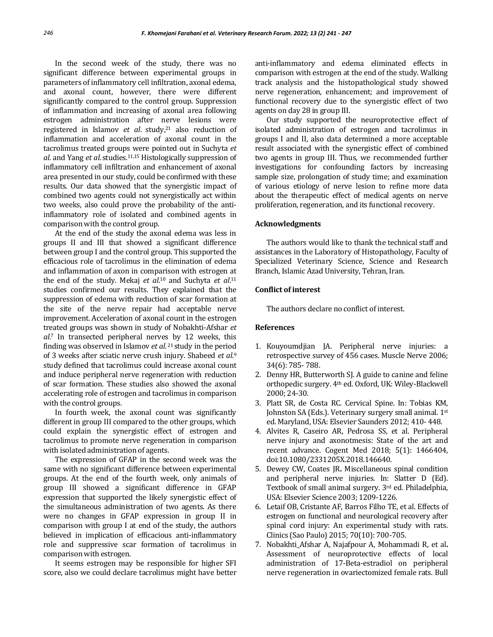In the second week of the study, there was no significant difference between experimental groups in parameters of inflammatory cell infiltration, axonal edema, and axonal count, however, there were different significantly compared to the control group. Suppression of inflammation and increasing of axonal area following estrogen administration after nerve lesions were registered in Islamov *et al*. study,<sup>21</sup> also reduction of inflammation and acceleration of axonal count in the tacrolimus treated groups were pointed out in Suchyta *et al*. and Yang *et al*. studies.11,15 Histologically suppression of inflammatory cell infiltration and enhancement of axonal area presented in our study, could be confirmed with these results. Our data showed that the synergistic impact of combined two agents could not synergistically act within two weeks, also could prove the probability of the antiinflammatory role of isolated and combined agents in comparison with the control group.

At the end of the study the axonal edema was less in groups II and III that showed a significant difference between group I and the control group. This supported the efficacious role of tacrolimus in the elimination of edema and inflammation of axon in comparison with estrogen at the end of the study. Mekaj *et al.*<sup>10</sup> and Suchyta *et al.*<sup>11</sup> studies confirmed our results. They explained that the suppression of edema with reduction of scar formation at the site of the nerve repair had acceptable nerve improvement. Acceleration of axonal count in the estrogen treated groups was shown in study of Nobakhti-Afshar *et al*. <sup>7</sup> In transected peripheral nerves by 12 weeks, this finding was observed in Islamov et al.<sup>21</sup> study in the period of 3 weeks after sciatic nerve crush injury. Shabeed *et al*. 9 study defined that tacrolimus could increase axonal count and induce peripheral nerve regeneration with reduction of scar formation. These studies also showed the axonal accelerating role of estrogen and tacrolimus in comparison with the control groups.

In fourth week, the axonal count was significantly different in group III compared to the other groups, which could explain the synergistic effect of estrogen and tacrolimus to promote nerve regeneration in comparison with isolated administration of agents.

The expression of GFAP in the second week was the same with no significant difference between experimental groups. At the end of the fourth week, only animals of group III showed a significant difference in GFAP expression that supported the likely synergistic effect of the simultaneous administration of two agents. As there were no changes in GFAP expression in group II in comparison with group I at end of the study, the authors believed in implication of efficacious anti-inflammatory role and suppressive scar formation of tacrolimus in comparison with estrogen.

It seems estrogen may be responsible for higher SFI score, also we could declare tacrolimus might have better anti-inflammatory and edema eliminated effects in comparison with estrogen at the end of the study. Walking track analysis and the histopathological study showed nerve regeneration, enhancement; and improvement of functional recovery due to the synergistic effect of two agents on day 28 in group III.

Our study supported the neuroprotective effect of isolated administration of estrogen and tacrolimus in groups I and II, also data determined a more acceptable result associated with the synergistic effect of combined two agents in group III. Thus, we recommended further investigations for confounding factors by increasing sample size, prolongation of study time; and examination of various etiology of nerve lesion to refine more data about the therapeutic effect of medical agents on nerve proliferation, regeneration, and its functional recovery.

## **Acknowledgments**

The authors would like to thank the technical staff and assistances in the Laboratory of Histopathology, Faculty of Specialized Veterinary Science, Science and Research Branch, Islamic Azad University, Tehran, Iran.

# **Conflict of interest**

The authors declare no conflict of interest.

## **References**

- 1. Kouyoumdjian JA. Peripheral nerve injuries: a retrospective survey of 456 cases. Muscle Nerve 2006; 34(6): 785- 788.
- 2. Denny HR, Butterworth SJ. A guide to canine and feline orthopedic surgery. 4th ed. Oxford, UK: Wiley-Blackwell 2000; 24-30.
- 3. Platt SR, de Costa RC. Cervical Spine. In: Tobias KM, Johnston SA (Eds.). Veterinary surgery small animal. 1st ed. Maryland, USA: Elsevier Saunders 2012; 410- 448.
- 4. Alvites R, Caseiro AR, Pedrosa SS, et al. Peripheral nerve injury and axonotmesis: State of the art and recent advance. Cogent Med 2018; 5(1): 1466404, doi:10.1080/2331205X.2018.146640.
- 5. Dewey CW, Coates JR**.** Miscellaneous spinal condition and peripheral nerve injuries. In: Slatter D (Ed). Textbook of small animal surgery. 3rd ed. Philadelphia, USA: Elsevier Science 2003; 1209-1226.
- 6. Letaif OB, Cristante AF, Barros Filho TE, et al. Effects of estrogen on functional and neurological recovery after spinal cord injury: An experimental study with rats. Clinics (Sao Paulo) 2015; 70(10): 700-705.
- 7. Nobakhti\_Afshar A, Najafpour A, Mohammadi R, et al**.**  Assessment of neuroprotective effects of local administration of 17-Beta-estradiol on peripheral nerve regeneration in ovariectomized female rats. Bull